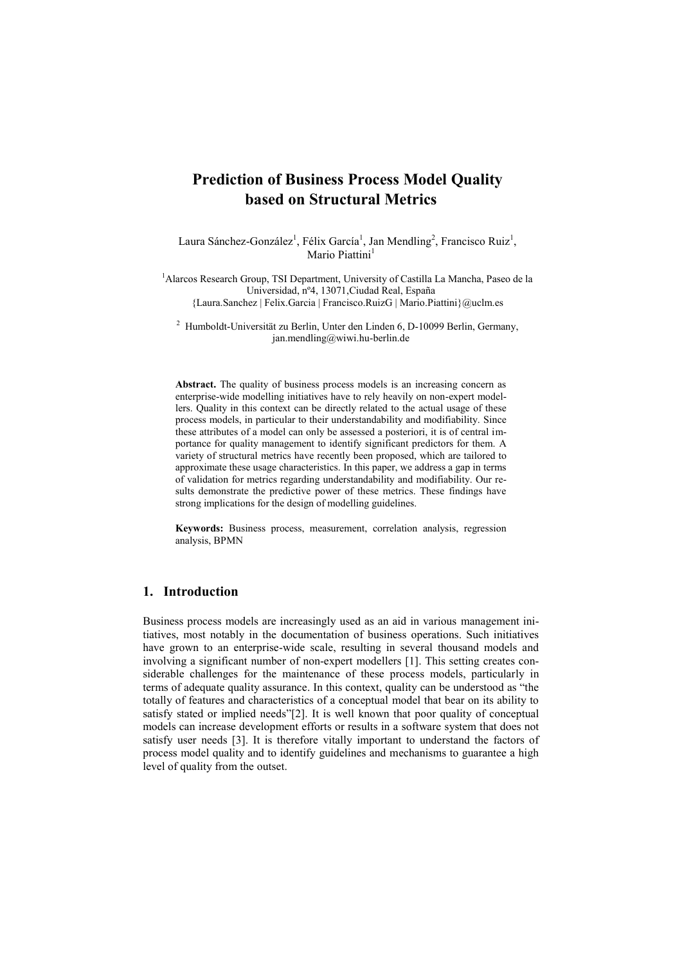# **Prediction of Business Process Model Quality based on Structural Metrics**

Laura Sánchez-González<sup>1</sup>, Félix García<sup>1</sup>, Jan Mendling<sup>2</sup>, Francisco Ruiz<sup>1</sup>, Mario Piattini<sup>1</sup>

<sup>1</sup>Alarcos Research Group, TSI Department, University of Castilla La Mancha, Paseo de la Universidad, nº4, 13071,Ciudad Real, España {Laura.Sanchez | Felix.Garcia | Francisco.RuizG | [Mario.Piattini}@uclm.es](mailto:Mario.Piattini%7D@uclm.es)

<sup>2</sup> Humboldt-Universität zu Berlin, Unter den Linden 6, D-10099 Berlin, Germany, [jan.mendling@wiwi.hu-berlin.de](mailto:jan.mendling@wiwi.hu-berlin.de)

**Abstract.** The quality of business process models is an increasing concern as enterprise-wide modelling initiatives have to rely heavily on non-expert modellers. Quality in this context can be directly related to the actual usage of these process models, in particular to their understandability and modifiability. Since these attributes of a model can only be assessed a posteriori, it is of central importance for quality management to identify significant predictors for them. A variety of structural metrics have recently been proposed, which are tailored to approximate these usage characteristics. In this paper, we address a gap in terms of validation for metrics regarding understandability and modifiability. Our results demonstrate the predictive power of these metrics. These findings have strong implications for the design of modelling guidelines.

**Keywords:** Business process, measurement, correlation analysis, regression analysis, BPMN

#### **1. Introduction**

Business process models are increasingly used as an aid in various management initiatives, most notably in the documentation of business operations. Such initiatives have grown to an enterprise-wide scale, resulting in several thousand models and involving a significant number of non-expert modellers [1]. This setting creates considerable challenges for the maintenance of these process models, particularly in terms of adequate quality assurance. In this context, quality can be understood as "the totally of features and characteristics of a conceptual model that bear on its ability to satisfy stated or implied needs"[2]. It is well known that poor quality of conceptual models can increase development efforts or results in a software system that does not satisfy user needs [3]. It is therefore vitally important to understand the factors of process model quality and to identify guidelines and mechanisms to guarantee a high level of quality from the outset.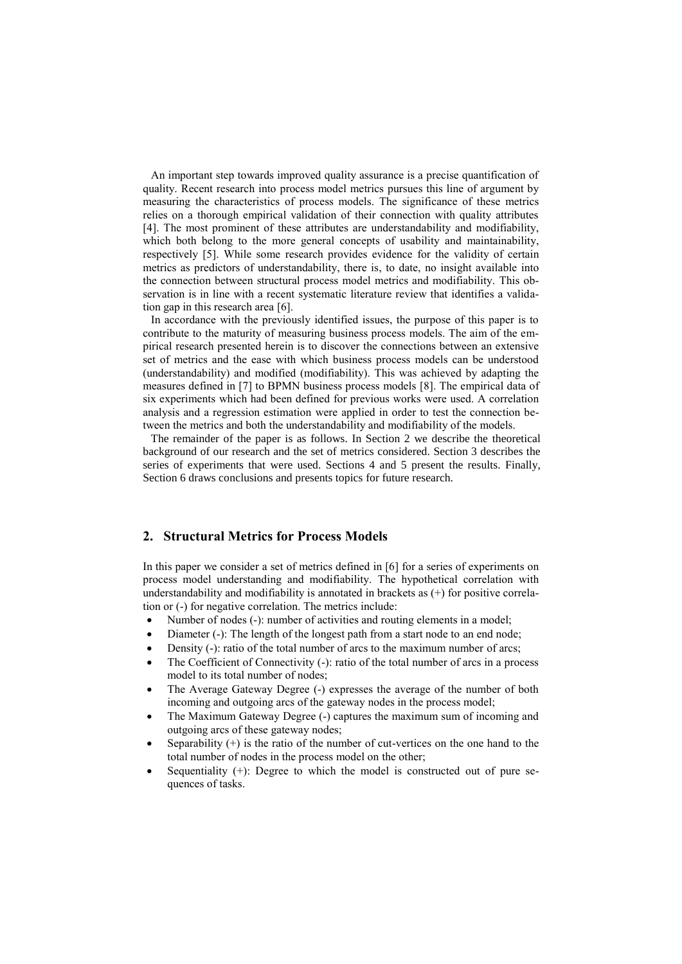An important step towards improved quality assurance is a precise quantification of quality. Recent research into process model metrics pursues this line of argument by measuring the characteristics of process models. The significance of these metrics relies on a thorough empirical validation of their connection with quality attributes [4]. The most prominent of these attributes are understandability and modifiability, which both belong to the more general concepts of usability and maintainability, respectively [5]. While some research provides evidence for the validity of certain metrics as predictors of understandability, there is, to date, no insight available into the connection between structural process model metrics and modifiability. This observation is in line with a recent systematic literature review that identifies a validation gap in this research area [6].

In accordance with the previously identified issues, the purpose of this paper is to contribute to the maturity of measuring business process models. The aim of the empirical research presented herein is to discover the connections between an extensive set of metrics and the ease with which business process models can be understood (understandability) and modified (modifiability). This was achieved by adapting the measures defined in [7] to BPMN business process models [8]. The empirical data of six experiments which had been defined for previous works were used. A correlation analysis and a regression estimation were applied in order to test the connection between the metrics and both the understandability and modifiability of the models.

The remainder of the paper is as follows. In Section 2 we describe the theoretical background of our research and the set of metrics considered. Section 3 describes the series of experiments that were used. Sections 4 and 5 present the results. Finally, Section 6 draws conclusions and presents topics for future research.

#### **2. Structural Metrics for Process Models**

In this paper we consider a set of metrics defined in [6] for a series of experiments on process model understanding and modifiability. The hypothetical correlation with understandability and modifiability is annotated in brackets as (+) for positive correlation or (-) for negative correlation. The metrics include:

- Number of nodes (-): number of activities and routing elements in a model;
- Diameter (-): The length of the longest path from a start node to an end node;
- Density (-): ratio of the total number of arcs to the maximum number of arcs;
- The Coefficient of Connectivity (-): ratio of the total number of arcs in a process model to its total number of nodes;
- The Average Gateway Degree (-) expresses the average of the number of both incoming and outgoing arcs of the gateway nodes in the process model;
- The Maximum Gateway Degree (-) captures the maximum sum of incoming and outgoing arcs of these gateway nodes;
- Separability (+) is the ratio of the number of cut-vertices on the one hand to the total number of nodes in the process model on the other;
- Sequentiality (+): Degree to which the model is constructed out of pure sequences of tasks.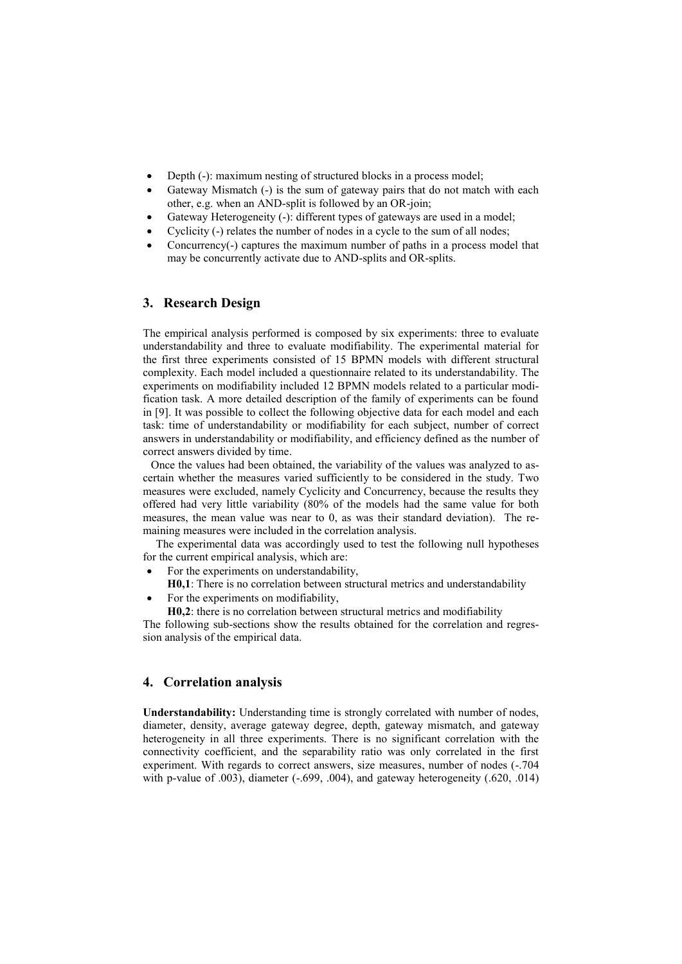- Depth (-): maximum nesting of structured blocks in a process model;
- Gateway Mismatch (-) is the sum of gateway pairs that do not match with each other, e.g. when an AND-split is followed by an OR-join;
- Gateway Heterogeneity (-): different types of gateways are used in a model;
- Cyclicity (-) relates the number of nodes in a cycle to the sum of all nodes;
- Concurrency(-) captures the maximum number of paths in a process model that may be concurrently activate due to AND-splits and OR-splits.

#### **3. Research Design**

The empirical analysis performed is composed by six experiments: three to evaluate understandability and three to evaluate modifiability. The experimental material for the first three experiments consisted of 15 BPMN models with different structural complexity. Each model included a questionnaire related to its understandability. The experiments on modifiability included 12 BPMN models related to a particular modification task. A more detailed description of the family of experiments can be found in [9]. It was possible to collect the following objective data for each model and each task: time of understandability or modifiability for each subject, number of correct answers in understandability or modifiability, and efficiency defined as the number of correct answers divided by time.

Once the values had been obtained, the variability of the values was analyzed to ascertain whether the measures varied sufficiently to be considered in the study. Two measures were excluded, namely Cyclicity and Concurrency, because the results they offered had very little variability (80% of the models had the same value for both measures, the mean value was near to 0, as was their standard deviation). The remaining measures were included in the correlation analysis.

The experimental data was accordingly used to test the following null hypotheses for the current empirical analysis, which are:

- For the experiments on understandability,
- **H0,1**: There is no correlation between structural metrics and understandability
- For the experiments on modifiability,
	- **H0,2**: there is no correlation between structural metrics and modifiability

The following sub-sections show the results obtained for the correlation and regression analysis of the empirical data.

## **4. Correlation analysis**

**Understandability:** Understanding time is strongly correlated with number of nodes, diameter, density, average gateway degree, depth, gateway mismatch, and gateway heterogeneity in all three experiments. There is no significant correlation with the connectivity coefficient, and the separability ratio was only correlated in the first experiment. With regards to correct answers, size measures, number of nodes  $(-.704)$ with p-value of .003), diameter (-.699, .004), and gateway heterogeneity (.620, .014)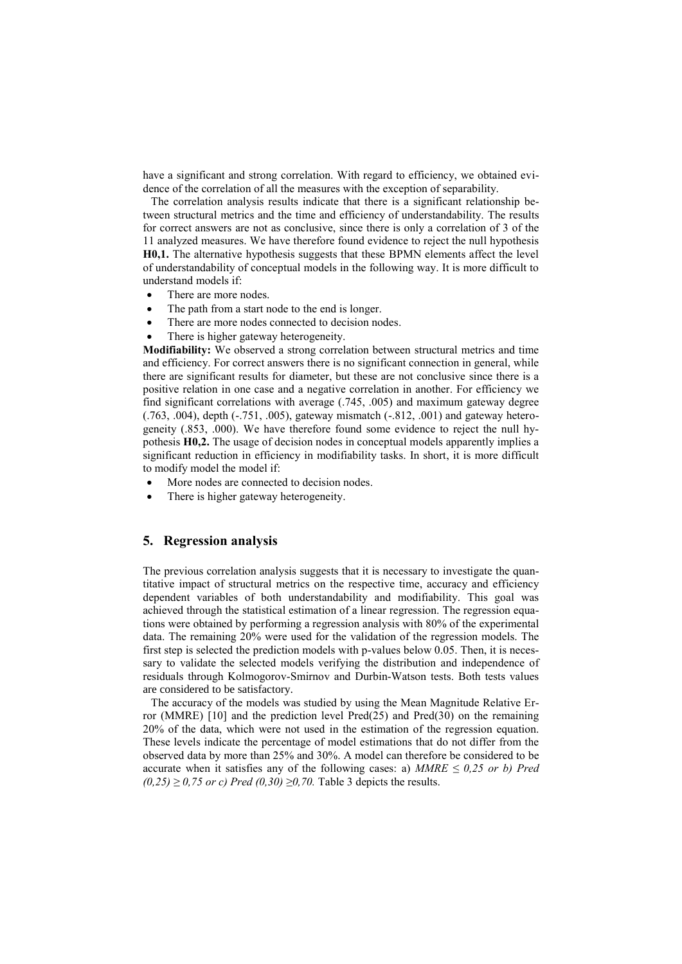have a significant and strong correlation. With regard to efficiency, we obtained evidence of the correlation of all the measures with the exception of separability.

The correlation analysis results indicate that there is a significant relationship between structural metrics and the time and efficiency of understandability. The results for correct answers are not as conclusive, since there is only a correlation of 3 of the 11 analyzed measures. We have therefore found evidence to reject the null hypothesis **H0,1.** The alternative hypothesis suggests that these BPMN elements affect the level of understandability of conceptual models in the following way. It is more difficult to understand models if:

- There are more nodes.
- The path from a start node to the end is longer.
- There are more nodes connected to decision nodes.
- There is higher gateway heterogeneity.

**Modifiability:** We observed a strong correlation between structural metrics and time and efficiency. For correct answers there is no significant connection in general, while there are significant results for diameter, but these are not conclusive since there is a positive relation in one case and a negative correlation in another. For efficiency we find significant correlations with average (.745, .005) and maximum gateway degree (.763, .004), depth (-.751, .005), gateway mismatch (-.812, .001) and gateway heterogeneity (.853, .000). We have therefore found some evidence to reject the null hypothesis **H0,2.** The usage of decision nodes in conceptual models apparently implies a significant reduction in efficiency in modifiability tasks. In short, it is more difficult to modify model the model if:

- More nodes are connected to decision nodes.
- There is higher gateway heterogeneity.

## **5. Regression analysis**

The previous correlation analysis suggests that it is necessary to investigate the quantitative impact of structural metrics on the respective time, accuracy and efficiency dependent variables of both understandability and modifiability. This goal was achieved through the statistical estimation of a linear regression. The regression equations were obtained by performing a regression analysis with 80% of the experimental data. The remaining 20% were used for the validation of the regression models. The first step is selected the prediction models with p-values below 0.05. Then, it is necessary to validate the selected models verifying the distribution and independence of residuals through Kolmogorov-Smirnov and Durbin-Watson tests. Both tests values are considered to be satisfactory.

The accuracy of the models was studied by using the Mean Magnitude Relative Error (MMRE) [10] and the prediction level Pred(25) and Pred(30) on the remaining 20% of the data, which were not used in the estimation of the regression equation. These levels indicate the percentage of model estimations that do not differ from the observed data by more than 25% and 30%. A model can therefore be considered to be accurate when it satisfies any of the following cases: a)  $MMRE \leq 0.25$  or b) Pred *(0,25) ≥ 0,75 or c) Pred (0,30) ≥0,70.* Table 3 depicts the results.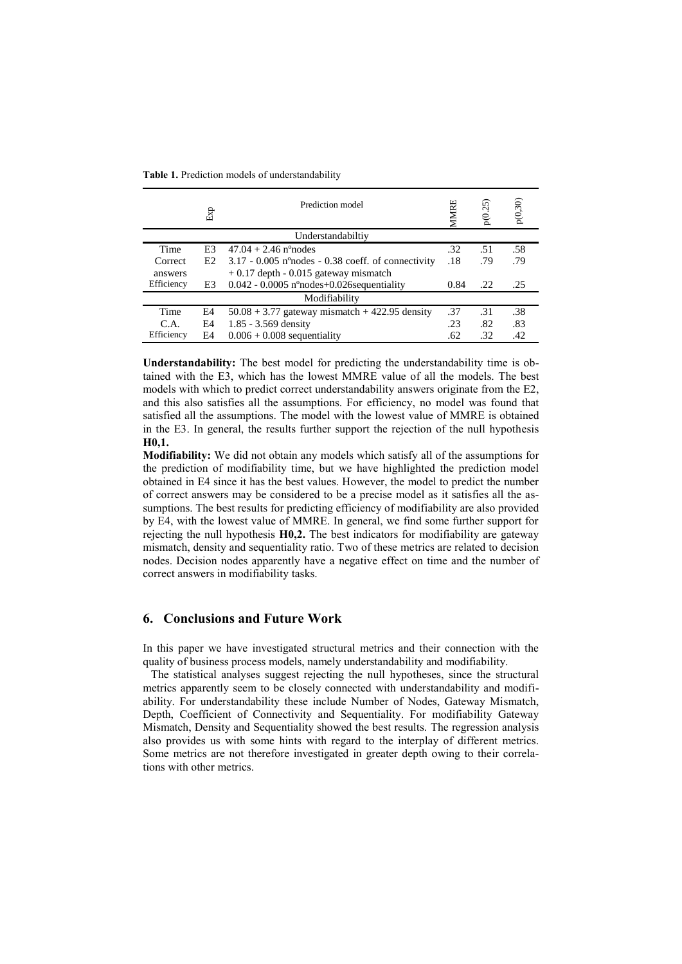**Table 1.** Prediction models of understandability

|                           | Exp | Prediction model                                                                                                                                                                                                                                                                                                                                                                                                                                                                                                                                                                                                                                                                                                                                                                                                                                                                                                                                                                                                                                        | <b>VIMIRE</b> | p(0.25) | p(0,30) |
|---------------------------|-----|---------------------------------------------------------------------------------------------------------------------------------------------------------------------------------------------------------------------------------------------------------------------------------------------------------------------------------------------------------------------------------------------------------------------------------------------------------------------------------------------------------------------------------------------------------------------------------------------------------------------------------------------------------------------------------------------------------------------------------------------------------------------------------------------------------------------------------------------------------------------------------------------------------------------------------------------------------------------------------------------------------------------------------------------------------|---------------|---------|---------|
|                           |     | Understandabiltiy                                                                                                                                                                                                                                                                                                                                                                                                                                                                                                                                                                                                                                                                                                                                                                                                                                                                                                                                                                                                                                       |               |         |         |
| Time                      | E3  | $47.04 + 2.46$ n°nodes                                                                                                                                                                                                                                                                                                                                                                                                                                                                                                                                                                                                                                                                                                                                                                                                                                                                                                                                                                                                                                  | .32           | .51     | .58     |
| Correct                   | E2  | $3.17 - 0.005$ n°nodes - 0.38 coeff. of connectivity                                                                                                                                                                                                                                                                                                                                                                                                                                                                                                                                                                                                                                                                                                                                                                                                                                                                                                                                                                                                    | .18           | .79     | .79     |
| answers                   |     | $+0.17$ depth - 0.015 gateway mismatch                                                                                                                                                                                                                                                                                                                                                                                                                                                                                                                                                                                                                                                                                                                                                                                                                                                                                                                                                                                                                  |               |         |         |
| Efficiency                | E3  | $0.042 - 0.0005$ n°nodes+0.026 sequentiality                                                                                                                                                                                                                                                                                                                                                                                                                                                                                                                                                                                                                                                                                                                                                                                                                                                                                                                                                                                                            | 0.84          | .22     | .25     |
|                           |     | Modifiability                                                                                                                                                                                                                                                                                                                                                                                                                                                                                                                                                                                                                                                                                                                                                                                                                                                                                                                                                                                                                                           |               |         |         |
| Time                      | E4  | $50.08 + 3.77$ gateway mismatch + 422.95 density                                                                                                                                                                                                                                                                                                                                                                                                                                                                                                                                                                                                                                                                                                                                                                                                                                                                                                                                                                                                        | .37           | .31     | .38     |
| C.A.                      | E4  | 1.85 - 3.569 density                                                                                                                                                                                                                                                                                                                                                                                                                                                                                                                                                                                                                                                                                                                                                                                                                                                                                                                                                                                                                                    | .23           | .82     | .83     |
| Efficiency                | E4  | $0.006 + 0.008$ sequentiality                                                                                                                                                                                                                                                                                                                                                                                                                                                                                                                                                                                                                                                                                                                                                                                                                                                                                                                                                                                                                           | .62           | .32     | .42     |
| H <sub>0</sub> ,1.        |     | satisfied all the assumptions. The model with the lowest value of MMRE is obtained<br>in the E3. In general, the results further support the rejection of the null hypothesis<br>Modifiability: We did not obtain any models which satisfy all of the assumptions for<br>the prediction of modifiability time, but we have highlighted the prediction model<br>obtained in E4 since it has the best values. However, the model to predict the number<br>of correct answers may be considered to be a precise model as it satisfies all the as-<br>sumptions. The best results for predicting efficiency of modifiability are also provided<br>by E4, with the lowest value of MMRE. In general, we find some further support for<br>rejecting the null hypothesis $H0,2$ . The best indicators for modifiability are gateway<br>mismatch, density and sequentiality ratio. Two of these metrics are related to decision<br>nodes. Decision nodes apparently have a negative effect on time and the number of<br>correct answers in modifiability tasks. |               |         |         |
| 6.                        |     | <b>Conclusions and Future Work</b>                                                                                                                                                                                                                                                                                                                                                                                                                                                                                                                                                                                                                                                                                                                                                                                                                                                                                                                                                                                                                      |               |         |         |
| tions with other metrics. |     | In this paper we have investigated structural metrics and their connection with the<br>quality of business process models, namely understandability and modifiability.<br>The statistical analyses suggest rejecting the null hypotheses, since the structural<br>metrics apparently seem to be closely connected with understandability and modifi-<br>ability. For understandability these include Number of Nodes, Gateway Mismatch,<br>Depth, Coefficient of Connectivity and Sequentiality. For modifiability Gateway<br>Mismatch, Density and Sequentiality showed the best results. The regression analysis<br>also provides us with some hints with regard to the interplay of different metrics.<br>Some metrics are not therefore investigated in greater depth owing to their correla-                                                                                                                                                                                                                                                       |               |         |         |

## **6. Conclusions and Future Work**